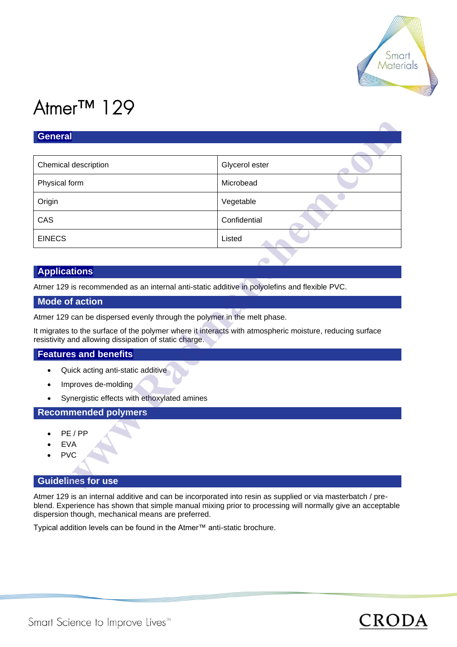

# Atmer™ 129

| General              |                |  |
|----------------------|----------------|--|
| Chemical description | Glycerol ester |  |
| Physical form        | Microbead      |  |
| Origin               | Vegetable      |  |
| CAS                  | Confidential   |  |
| <b>EINECS</b>        | Listed         |  |

# **Applications**

Atmer 129 is recommended as an internal anti-static additive in polyolefins and flexible PVC.

# **Mode of action**

Atmer 129 can be dispersed evenly through the polymer in the melt phase.

It migrates to the surface of the polymer where it interacts with atmospheric moisture, reducing surface resistivity and allowing dissipation of static charge.

## **Features and benefits**

- Quick acting anti-static additive
- Improves de-molding
- Synergistic effects with ethoxylated amines

# **Recommended polymers**

- PE / PP
- **EVA**
- PVC

# **Guidelines for use**

Atmer 129 is an internal additive and can be incorporated into resin as supplied or via masterbatch / preblend. Experience has shown that simple manual mixing prior to processing will normally give an acceptable dispersion though, mechanical means are preferred.

Typical addition levels can be found in the Atmer™ anti-static brochure.